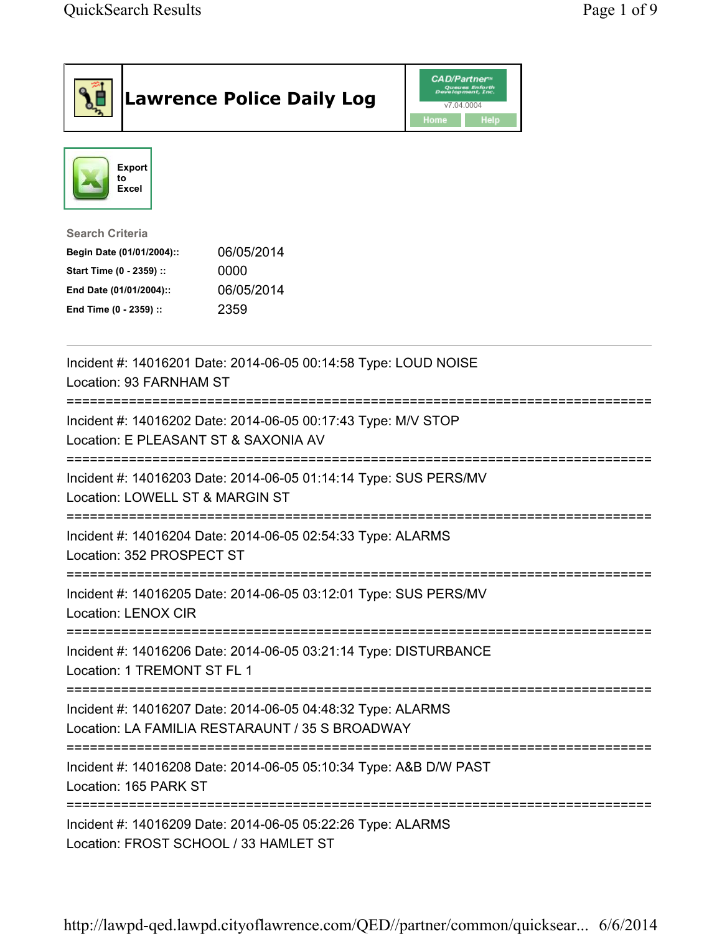|                                                                                                                                      | <b>Lawrence Police Daily Log</b>                                                                               | CAD/Partner™<br>Queues Enforth<br>Development, Inc.<br>v7.04.0004<br><b>Help</b><br>Home |  |  |
|--------------------------------------------------------------------------------------------------------------------------------------|----------------------------------------------------------------------------------------------------------------|------------------------------------------------------------------------------------------|--|--|
| Export<br>to<br>Excel                                                                                                                |                                                                                                                |                                                                                          |  |  |
| <b>Search Criteria</b><br>Begin Date (01/01/2004)::<br>Start Time (0 - 2359) ::<br>End Date (01/01/2004)::<br>End Time (0 - 2359) :: | 06/05/2014<br>0000<br>06/05/2014<br>2359                                                                       |                                                                                          |  |  |
| Location: 93 FARNHAM ST                                                                                                              | Incident #: 14016201 Date: 2014-06-05 00:14:58 Type: LOUD NOISE                                                |                                                                                          |  |  |
| Location: E PLEASANT ST & SAXONIA AV                                                                                                 | Incident #: 14016202 Date: 2014-06-05 00:17:43 Type: M/V STOP                                                  |                                                                                          |  |  |
| ===============================<br>Location: LOWELL ST & MARGIN ST                                                                   | Incident #: 14016203 Date: 2014-06-05 01:14:14 Type: SUS PERS/MV                                               |                                                                                          |  |  |
| Location: 352 PROSPECT ST                                                                                                            | Incident #: 14016204 Date: 2014-06-05 02:54:33 Type: ALARMS                                                    |                                                                                          |  |  |
| <b>Location: LENOX CIR</b>                                                                                                           | Incident #: 14016205 Date: 2014-06-05 03:12:01 Type: SUS PERS/MV                                               |                                                                                          |  |  |
| Location: 1 TREMONT ST FL 1                                                                                                          | Incident #: 14016206 Date: 2014-06-05 03:21:14 Type: DISTURBANCE                                               |                                                                                          |  |  |
|                                                                                                                                      | Incident #: 14016207 Date: 2014-06-05 04:48:32 Type: ALARMS<br>Location: LA FAMILIA RESTARAUNT / 35 S BROADWAY |                                                                                          |  |  |
| Incident #: 14016208 Date: 2014-06-05 05:10:34 Type: A&B D/W PAST<br>Location: 165 PARK ST                                           |                                                                                                                |                                                                                          |  |  |
| Incident #: 14016209 Date: 2014-06-05 05:22:26 Type: ALARMS<br>Location: FROST SCHOOL / 33 HAMLET ST                                 |                                                                                                                |                                                                                          |  |  |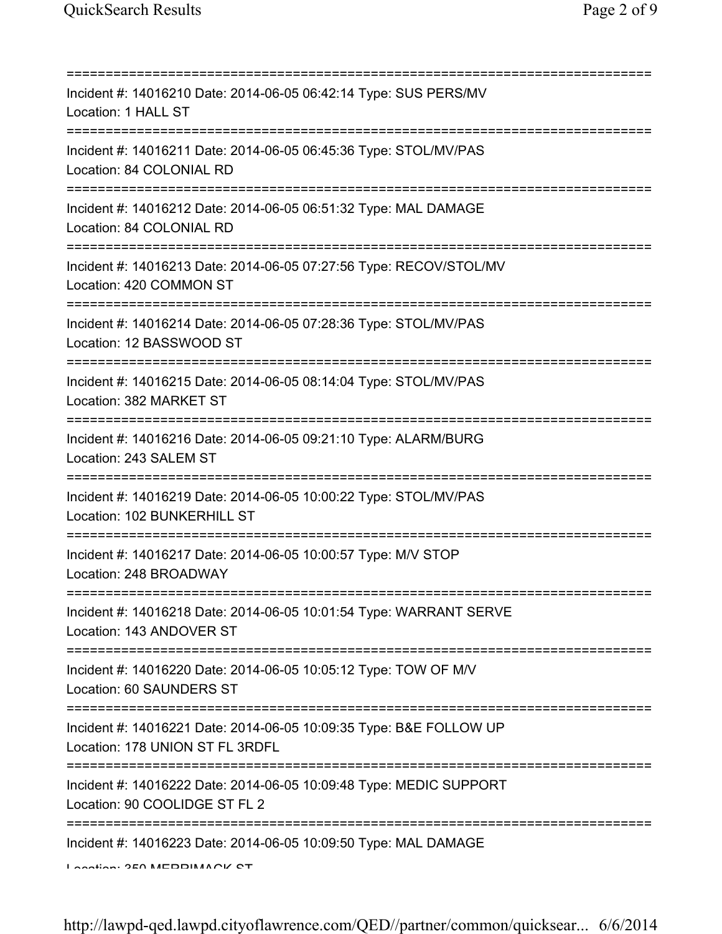| Incident #: 14016210 Date: 2014-06-05 06:42:14 Type: SUS PERS/MV<br>Location: 1 HALL ST                                              |
|--------------------------------------------------------------------------------------------------------------------------------------|
| Incident #: 14016211 Date: 2014-06-05 06:45:36 Type: STOL/MV/PAS<br>Location: 84 COLONIAL RD                                         |
| Incident #: 14016212 Date: 2014-06-05 06:51:32 Type: MAL DAMAGE<br>Location: 84 COLONIAL RD                                          |
| Incident #: 14016213 Date: 2014-06-05 07:27:56 Type: RECOV/STOL/MV<br>Location: 420 COMMON ST                                        |
| Incident #: 14016214 Date: 2014-06-05 07:28:36 Type: STOL/MV/PAS<br>Location: 12 BASSWOOD ST                                         |
| Incident #: 14016215 Date: 2014-06-05 08:14:04 Type: STOL/MV/PAS<br>Location: 382 MARKET ST<br>===================================== |
| Incident #: 14016216 Date: 2014-06-05 09:21:10 Type: ALARM/BURG<br>Location: 243 SALEM ST<br>================================        |
| Incident #: 14016219 Date: 2014-06-05 10:00:22 Type: STOL/MV/PAS<br>Location: 102 BUNKERHILL ST                                      |
| Incident #: 14016217 Date: 2014-06-05 10:00:57 Type: M/V STOP<br>Location: 248 BROADWAY                                              |
| Incident #: 14016218 Date: 2014-06-05 10:01:54 Type: WARRANT SERVE<br>Location: 143 ANDOVER ST                                       |
| Incident #: 14016220 Date: 2014-06-05 10:05:12 Type: TOW OF M/V<br>Location: 60 SAUNDERS ST                                          |
| Incident #: 14016221 Date: 2014-06-05 10:09:35 Type: B&E FOLLOW UP<br>Location: 178 UNION ST FL 3RDFL                                |
| Incident #: 14016222 Date: 2014-06-05 10:09:48 Type: MEDIC SUPPORT<br>Location: 90 COOLIDGE ST FL 2                                  |
| Incident #: 14016223 Date: 2014-06-05 10:09:50 Type: MAL DAMAGE<br>$I$ antion: $2E0$ MEDDIMACK CT                                    |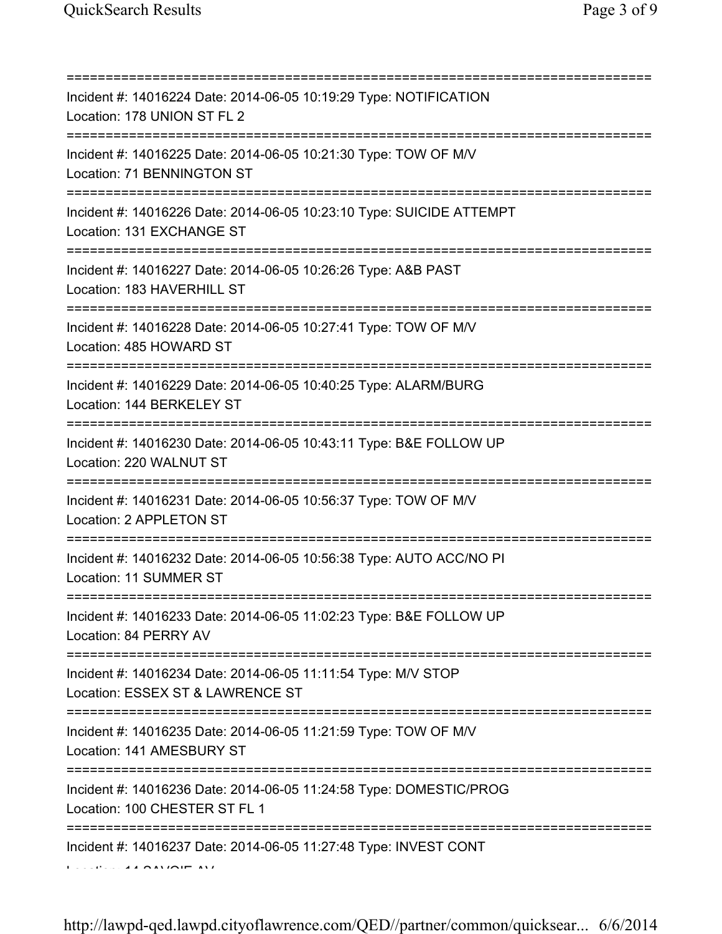| Incident #: 14016224 Date: 2014-06-05 10:19:29 Type: NOTIFICATION<br>Location: 178 UNION ST FL 2                                |
|---------------------------------------------------------------------------------------------------------------------------------|
| Incident #: 14016225 Date: 2014-06-05 10:21:30 Type: TOW OF M/V<br>Location: 71 BENNINGTON ST                                   |
| Incident #: 14016226 Date: 2014-06-05 10:23:10 Type: SUICIDE ATTEMPT<br>Location: 131 EXCHANGE ST                               |
| Incident #: 14016227 Date: 2014-06-05 10:26:26 Type: A&B PAST<br>Location: 183 HAVERHILL ST                                     |
| Incident #: 14016228 Date: 2014-06-05 10:27:41 Type: TOW OF M/V<br>Location: 485 HOWARD ST                                      |
| Incident #: 14016229 Date: 2014-06-05 10:40:25 Type: ALARM/BURG<br>Location: 144 BERKELEY ST                                    |
| Incident #: 14016230 Date: 2014-06-05 10:43:11 Type: B&E FOLLOW UP<br>Location: 220 WALNUT ST                                   |
| =================================<br>Incident #: 14016231 Date: 2014-06-05 10:56:37 Type: TOW OF M/V<br>Location: 2 APPLETON ST |
| Incident #: 14016232 Date: 2014-06-05 10:56:38 Type: AUTO ACC/NO PI<br>Location: 11 SUMMER ST                                   |
| Incident #: 14016233 Date: 2014-06-05 11:02:23 Type: B&E FOLLOW UP<br>Location: 84 PERRY AV                                     |
| Incident #: 14016234 Date: 2014-06-05 11:11:54 Type: M/V STOP<br>Location: ESSEX ST & LAWRENCE ST                               |
| Incident #: 14016235 Date: 2014-06-05 11:21:59 Type: TOW OF M/V<br>Location: 141 AMESBURY ST                                    |
| Incident #: 14016236 Date: 2014-06-05 11:24:58 Type: DOMESTIC/PROG<br>Location: 100 CHESTER ST FL 1                             |
| Incident #: 14016237 Date: 2014-06-05 11:27:48 Type: INVEST CONT                                                                |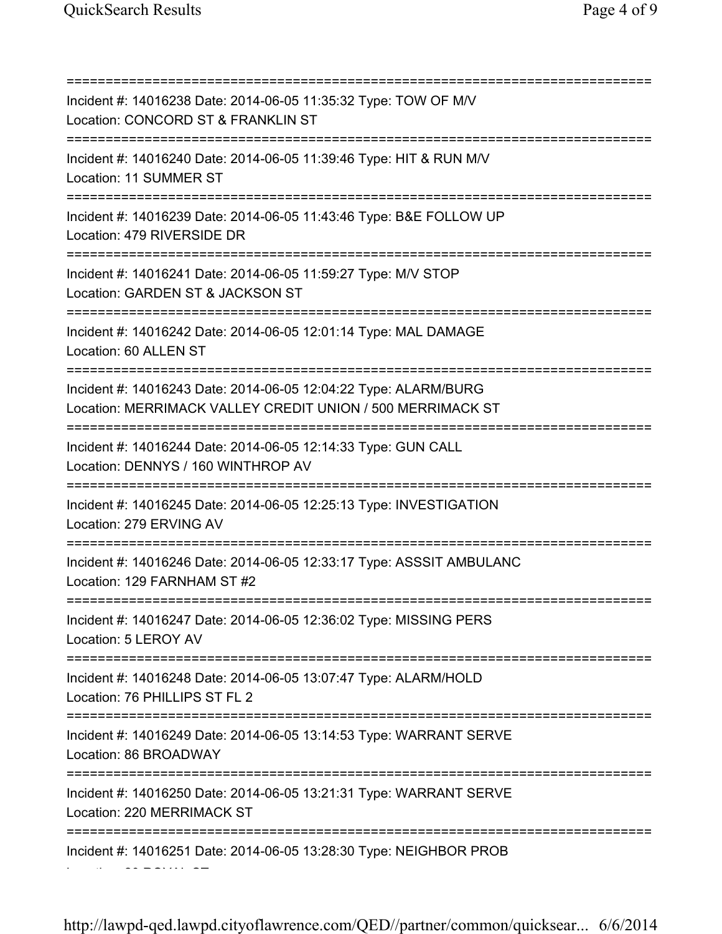=========================================================================== Incident #: 14016238 Date: 2014-06-05 11:35:32 Type: TOW OF M/V Location: CONCORD ST & FRANKLIN ST =========================================================================== Incident #: 14016240 Date: 2014-06-05 11:39:46 Type: HIT & RUN M/V Location: 11 SUMMER ST =========================================================================== Incident #: 14016239 Date: 2014-06-05 11:43:46 Type: B&E FOLLOW UP Location: 479 RIVERSIDE DR =========================================================================== Incident #: 14016241 Date: 2014-06-05 11:59:27 Type: M/V STOP Location: GARDEN ST & JACKSON ST =========================================================================== Incident #: 14016242 Date: 2014-06-05 12:01:14 Type: MAL DAMAGE Location: 60 ALLEN ST =========================================================================== Incident #: 14016243 Date: 2014-06-05 12:04:22 Type: ALARM/BURG Location: MERRIMACK VALLEY CREDIT UNION / 500 MERRIMACK ST =========================================================================== Incident #: 14016244 Date: 2014-06-05 12:14:33 Type: GUN CALL Location: DENNYS / 160 WINTHROP AV =========================================================================== Incident #: 14016245 Date: 2014-06-05 12:25:13 Type: INVESTIGATION Location: 279 ERVING AV =========================================================================== Incident #: 14016246 Date: 2014-06-05 12:33:17 Type: ASSSIT AMBULANC Location: 129 FARNHAM ST #2 =========================================================================== Incident #: 14016247 Date: 2014-06-05 12:36:02 Type: MISSING PERS Location: 5 LEROY AV =========================================================================== Incident #: 14016248 Date: 2014-06-05 13:07:47 Type: ALARM/HOLD Location: 76 PHILLIPS ST FL 2 =========================================================================== Incident #: 14016249 Date: 2014-06-05 13:14:53 Type: WARRANT SERVE Location: 86 BROADWAY =========================================================================== Incident #: 14016250 Date: 2014-06-05 13:21:31 Type: WARRANT SERVE Location: 220 MERRIMACK ST =========================================================================== Incident #: 14016251 Date: 2014-06-05 13:28:30 Type: NEIGHBOR PROB Location: 20 ROYAL ST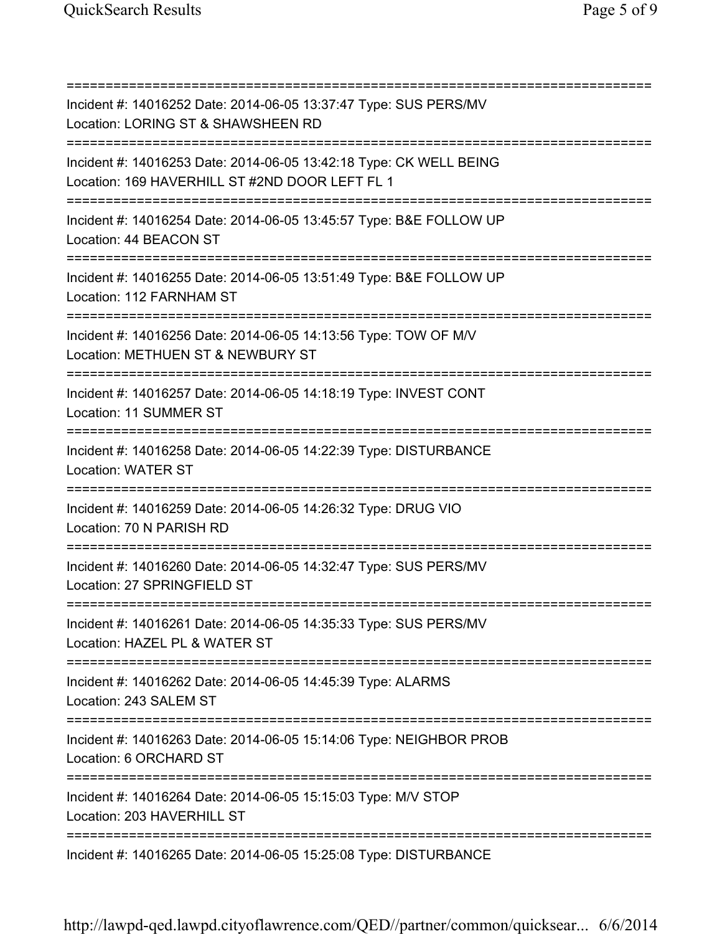=========================================================================== Incident #: 14016252 Date: 2014-06-05 13:37:47 Type: SUS PERS/MV Location: LORING ST & SHAWSHEEN RD =========================================================================== Incident #: 14016253 Date: 2014-06-05 13:42:18 Type: CK WELL BEING Location: 169 HAVERHILL ST #2ND DOOR LEFT FL 1 =========================================================================== Incident #: 14016254 Date: 2014-06-05 13:45:57 Type: B&E FOLLOW UP Location: 44 BEACON ST =========================================================================== Incident #: 14016255 Date: 2014-06-05 13:51:49 Type: B&E FOLLOW UP Location: 112 FARNHAM ST =========================================================================== Incident #: 14016256 Date: 2014-06-05 14:13:56 Type: TOW OF M/V Location: METHUEN ST & NEWBURY ST =========================================================================== Incident #: 14016257 Date: 2014-06-05 14:18:19 Type: INVEST CONT Location: 11 SUMMER ST =========================================================================== Incident #: 14016258 Date: 2014-06-05 14:22:39 Type: DISTURBANCE Location: WATER ST =========================================================================== Incident #: 14016259 Date: 2014-06-05 14:26:32 Type: DRUG VIO Location: 70 N PARISH RD =========================================================================== Incident #: 14016260 Date: 2014-06-05 14:32:47 Type: SUS PERS/MV Location: 27 SPRINGFIELD ST =========================================================================== Incident #: 14016261 Date: 2014-06-05 14:35:33 Type: SUS PERS/MV Location: HAZEL PL & WATER ST =========================================================================== Incident #: 14016262 Date: 2014-06-05 14:45:39 Type: ALARMS Location: 243 SALEM ST =========================================================================== Incident #: 14016263 Date: 2014-06-05 15:14:06 Type: NEIGHBOR PROB Location: 6 ORCHARD ST =========================================================================== Incident #: 14016264 Date: 2014-06-05 15:15:03 Type: M/V STOP Location: 203 HAVERHILL ST =========================================================================== Incident #: 14016265 Date: 2014-06-05 15:25:08 Type: DISTURBANCE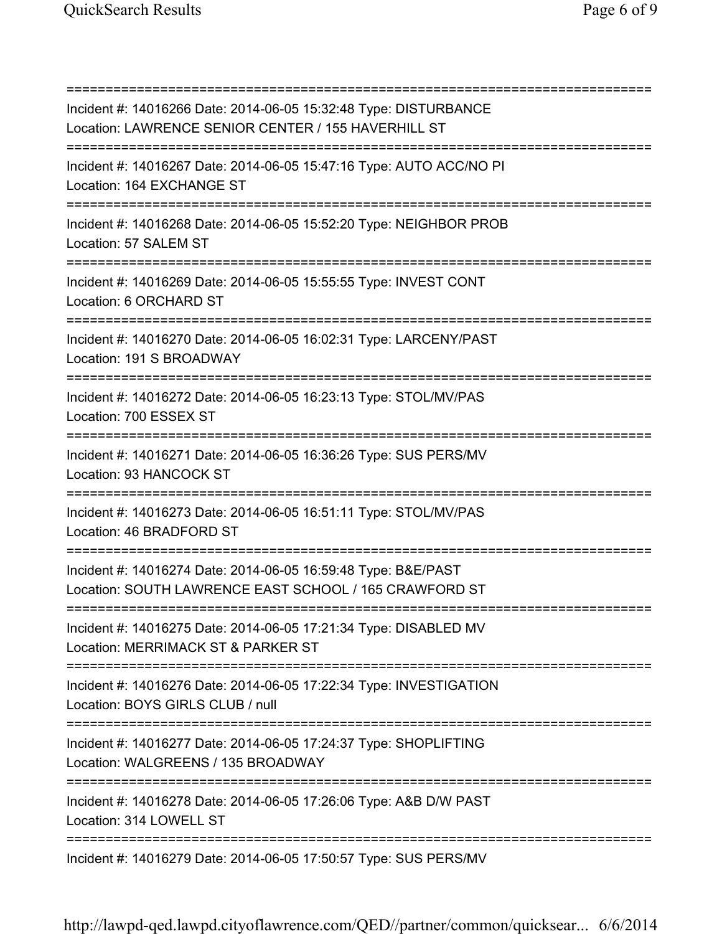=========================================================================== Incident #: 14016266 Date: 2014-06-05 15:32:48 Type: DISTURBANCE Location: LAWRENCE SENIOR CENTER / 155 HAVERHILL ST =========================================================================== Incident #: 14016267 Date: 2014-06-05 15:47:16 Type: AUTO ACC/NO PI Location: 164 EXCHANGE ST =========================================================================== Incident #: 14016268 Date: 2014-06-05 15:52:20 Type: NEIGHBOR PROB Location: 57 SALEM ST =========================================================================== Incident #: 14016269 Date: 2014-06-05 15:55:55 Type: INVEST CONT Location: 6 ORCHARD ST =========================================================================== Incident #: 14016270 Date: 2014-06-05 16:02:31 Type: LARCENY/PAST Location: 191 S BROADWAY =========================================================================== Incident #: 14016272 Date: 2014-06-05 16:23:13 Type: STOL/MV/PAS Location: 700 ESSEX ST =========================================================================== Incident #: 14016271 Date: 2014-06-05 16:36:26 Type: SUS PERS/MV Location: 93 HANCOCK ST =========================================================================== Incident #: 14016273 Date: 2014-06-05 16:51:11 Type: STOL/MV/PAS Location: 46 BRADFORD ST =========================================================================== Incident #: 14016274 Date: 2014-06-05 16:59:48 Type: B&E/PAST Location: SOUTH LAWRENCE EAST SCHOOL / 165 CRAWFORD ST =========================================================================== Incident #: 14016275 Date: 2014-06-05 17:21:34 Type: DISABLED MV Location: MERRIMACK ST & PARKER ST =========================================================================== Incident #: 14016276 Date: 2014-06-05 17:22:34 Type: INVESTIGATION Location: BOYS GIRLS CLUB / null =========================================================================== Incident #: 14016277 Date: 2014-06-05 17:24:37 Type: SHOPLIFTING Location: WALGREENS / 135 BROADWAY =========================================================================== Incident #: 14016278 Date: 2014-06-05 17:26:06 Type: A&B D/W PAST Location: 314 LOWELL ST =========================================================================== Incident #: 14016279 Date: 2014-06-05 17:50:57 Type: SUS PERS/MV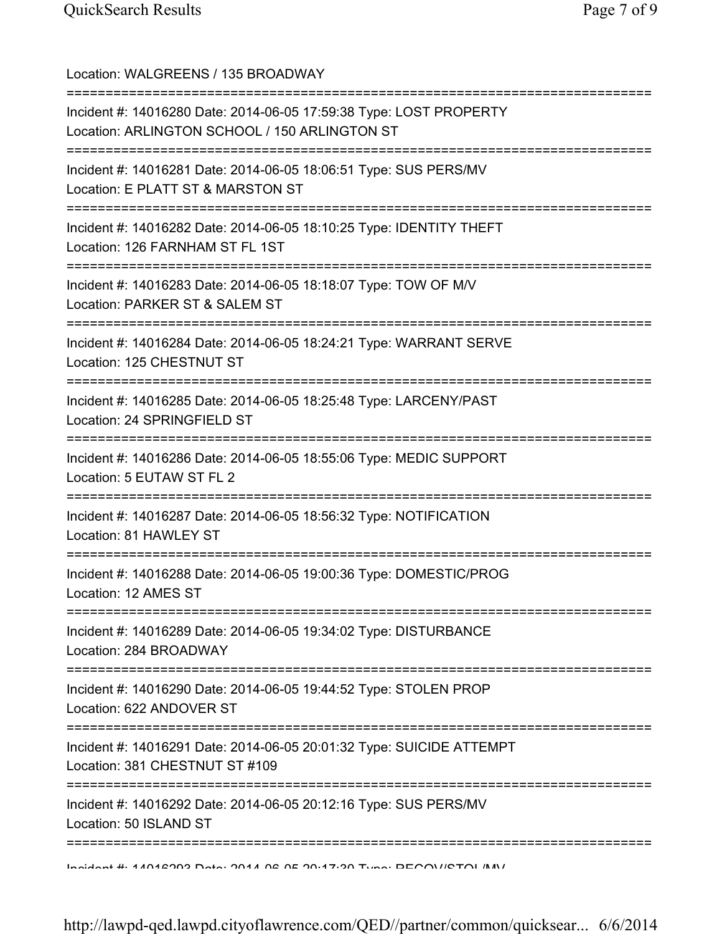| Location: WALGREENS / 135 BROADWAY<br>================================                                                                            |
|---------------------------------------------------------------------------------------------------------------------------------------------------|
| Incident #: 14016280 Date: 2014-06-05 17:59:38 Type: LOST PROPERTY<br>Location: ARLINGTON SCHOOL / 150 ARLINGTON ST<br>========================== |
| Incident #: 14016281 Date: 2014-06-05 18:06:51 Type: SUS PERS/MV<br>Location: E PLATT ST & MARSTON ST                                             |
| Incident #: 14016282 Date: 2014-06-05 18:10:25 Type: IDENTITY THEFT<br>Location: 126 FARNHAM ST FL 1ST                                            |
| Incident #: 14016283 Date: 2014-06-05 18:18:07 Type: TOW OF M/V<br>Location: PARKER ST & SALEM ST                                                 |
| =============================<br>Incident #: 14016284 Date: 2014-06-05 18:24:21 Type: WARRANT SERVE<br>Location: 125 CHESTNUT ST                  |
| Incident #: 14016285 Date: 2014-06-05 18:25:48 Type: LARCENY/PAST<br>Location: 24 SPRINGFIELD ST                                                  |
| Incident #: 14016286 Date: 2014-06-05 18:55:06 Type: MEDIC SUPPORT<br>Location: 5 EUTAW ST FL 2                                                   |
| Incident #: 14016287 Date: 2014-06-05 18:56:32 Type: NOTIFICATION<br>Location: 81 HAWLEY ST                                                       |
| Incident #: 14016288 Date: 2014-06-05 19:00:36 Type: DOMESTIC/PROG<br>Location: 12 AMES ST                                                        |
| Incident #: 14016289 Date: 2014-06-05 19:34:02 Type: DISTURBANCE<br>Location: 284 BROADWAY                                                        |
| Incident #: 14016290 Date: 2014-06-05 19:44:52 Type: STOLEN PROP<br>Location: 622 ANDOVER ST                                                      |
| Incident #: 14016291 Date: 2014-06-05 20:01:32 Type: SUICIDE ATTEMPT<br>Location: 381 CHESTNUT ST #109                                            |
| =============<br>Incident #: 14016292 Date: 2014-06-05 20:12:16 Type: SUS PERS/MV<br>Location: 50 ISLAND ST                                       |
|                                                                                                                                                   |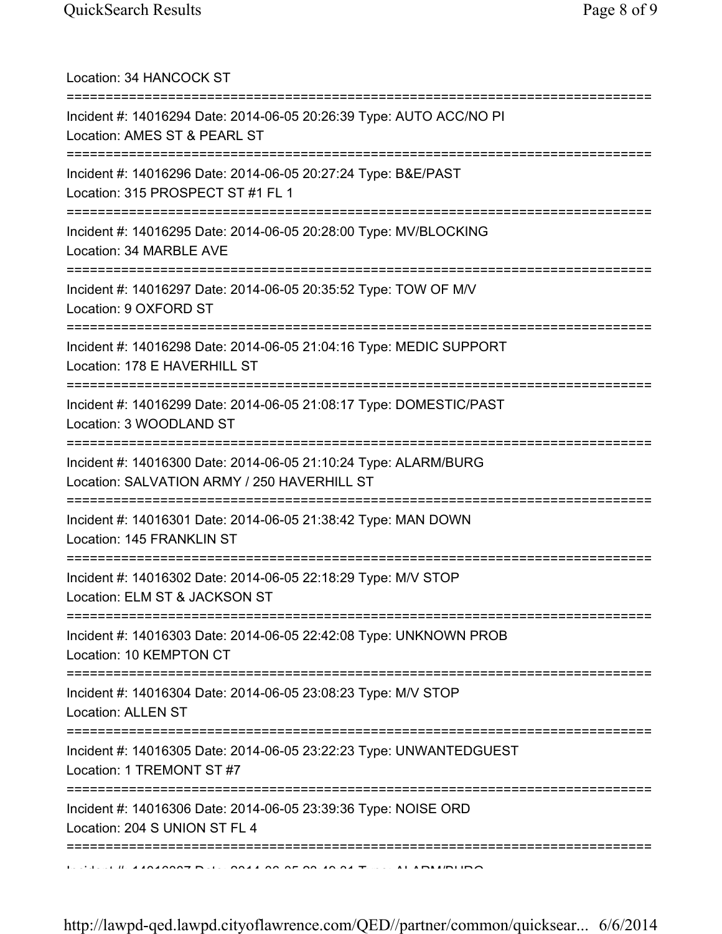| Location: 34 HANCOCK ST<br>=====================================                                                                           |
|--------------------------------------------------------------------------------------------------------------------------------------------|
| Incident #: 14016294 Date: 2014-06-05 20:26:39 Type: AUTO ACC/NO PI<br>Location: AMES ST & PEARL ST<br>=============================       |
| Incident #: 14016296 Date: 2014-06-05 20:27:24 Type: B&E/PAST<br>Location: 315 PROSPECT ST #1 FL 1                                         |
| Incident #: 14016295 Date: 2014-06-05 20:28:00 Type: MV/BLOCKING<br>Location: 34 MARBLE AVE                                                |
| Incident #: 14016297 Date: 2014-06-05 20:35:52 Type: TOW OF M/V<br>Location: 9 OXFORD ST                                                   |
| Incident #: 14016298 Date: 2014-06-05 21:04:16 Type: MEDIC SUPPORT<br>Location: 178 E HAVERHILL ST                                         |
| Incident #: 14016299 Date: 2014-06-05 21:08:17 Type: DOMESTIC/PAST<br>Location: 3 WOODLAND ST                                              |
| Incident #: 14016300 Date: 2014-06-05 21:10:24 Type: ALARM/BURG<br>Location: SALVATION ARMY / 250 HAVERHILL ST                             |
| Incident #: 14016301 Date: 2014-06-05 21:38:42 Type: MAN DOWN<br>Location: 145 FRANKLIN ST                                                 |
| Incident #: 14016302 Date: 2014-06-05 22:18:29 Type: M/V STOP<br>Location: ELM ST & JACKSON ST                                             |
| Incident #: 14016303 Date: 2014-06-05 22:42:08 Type: UNKNOWN PROB<br>Location: 10 KEMPTON CT                                               |
| ================================<br>Incident #: 14016304 Date: 2014-06-05 23:08:23 Type: M/V STOP<br>Location: ALLEN ST                    |
| =====================<br>:=============<br>Incident #: 14016305 Date: 2014-06-05 23:22:23 Type: UNWANTEDGUEST<br>Location: 1 TREMONT ST #7 |
| Incident #: 14016306 Date: 2014-06-05 23:39:36 Type: NOISE ORD<br>Location: 204 S UNION ST FL 4                                            |
| ============================                                                                                                               |